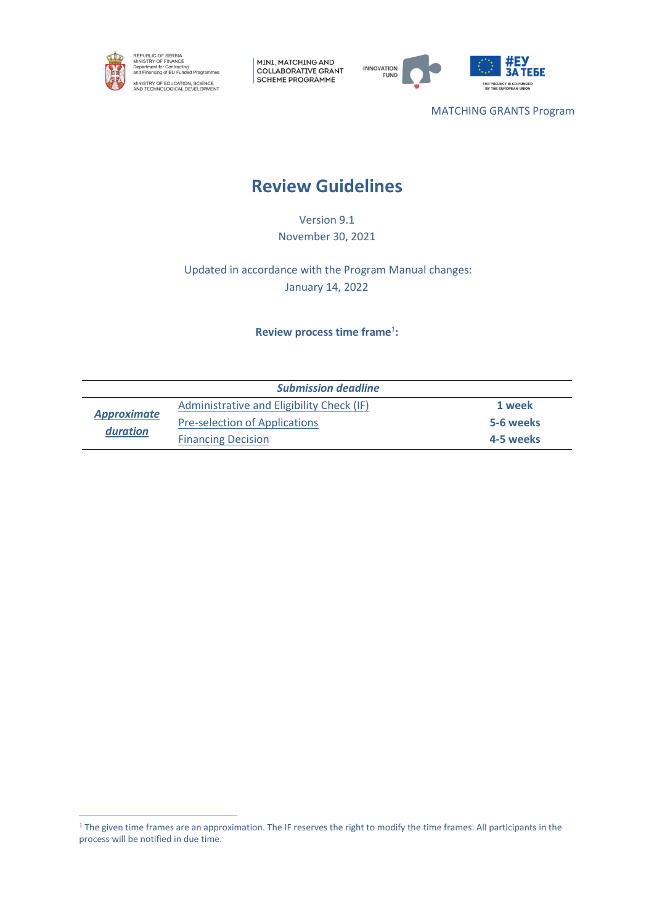

MINI, MATCHING AND COLLABORATIVE GRANT SCHEME PROGRAMME



MATCHING GRANTS Program

# **Review Guidelines**

Version 9.1 November 30, 2021

Updated in accordance with the Program Manual changes: January 14, 2022

# **Review process time frame**<sup>1</sup> **:**

| <b>Submission deadline</b>     |                                           |           |  |  |
|--------------------------------|-------------------------------------------|-----------|--|--|
| <b>Approximate</b><br>duration | Administrative and Eligibility Check (IF) | 1 week    |  |  |
|                                | <b>Pre-selection of Applications</b>      | 5-6 weeks |  |  |
|                                | <b>Financing Decision</b>                 | 4-5 weeks |  |  |

<sup>&</sup>lt;sup>1</sup> The given time frames are an approximation. The IF reserves the right to modify the time frames. All participants in the process will be notified in due time.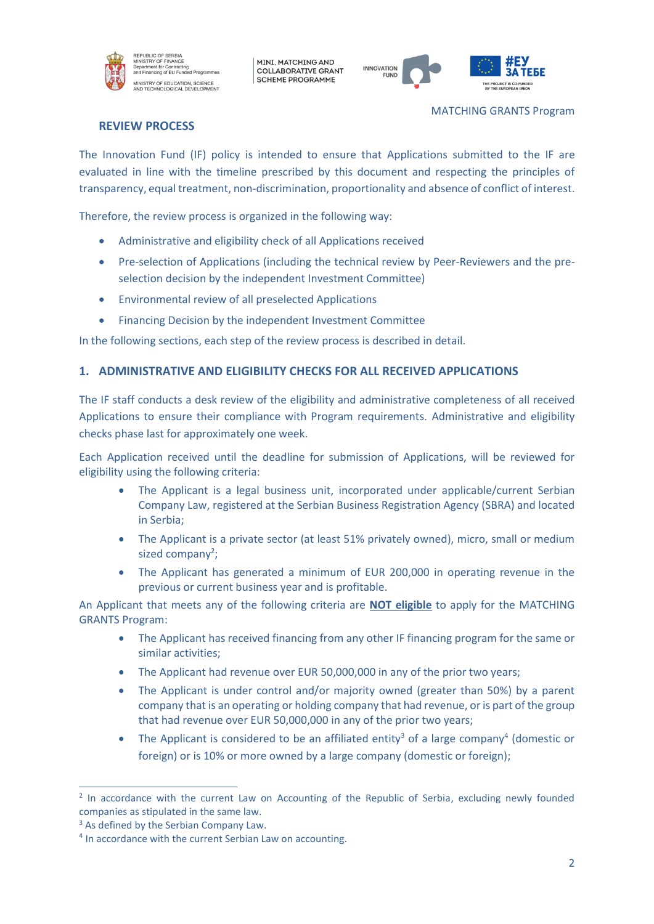

MINI, MATCHING AND **COLLABORATIVE GRANT SCHEME PROGRAMME** 



MATCHING GRANTS Program

## **REVIEW PROCESS**

The Innovation Fund (IF) policy is intended to ensure that Applications submitted to the IF are evaluated in line with the timeline prescribed by this document and respecting the principles of transparency, equal treatment, non-discrimination, proportionality and absence of conflict of interest.

Therefore, the review process is organized in the following way:

- Administrative and eligibility check of all Applications received
- Pre-selection of Applications (including the technical review by Peer-Reviewers and the preselection decision by the independent Investment Committee)
- Environmental review of all preselected Applications
- Financing Decision by the independent Investment Committee

In the following sections, each step of the review process is described in detail.

### **1. ADMINISTRATIVE AND ELIGIBILITY CHECKS FOR ALL RECEIVED APPLICATIONS**

The IF staff conducts a desk review of the eligibility and administrative completeness of all received Applications to ensure their compliance with Program requirements. Administrative and eligibility checks phase last for approximately one week.

Each Application received until the deadline for submission of Applications, will be reviewed for eligibility using the following criteria:

- The Applicant is a legal business unit, incorporated under applicable/current Serbian Company Law, registered at the Serbian Business Registration Agency (SBRA) and located in Serbia;
- The Applicant is a private sector (at least 51% privately owned), micro, small or medium sized company<sup>2</sup>;
- The Applicant has generated a minimum of EUR 200,000 in operating revenue in the previous or current business year and is profitable.

An Applicant that meets any of the following criteria are **NOT eligible** to apply for the MATCHING GRANTS Program:

- The Applicant has received financing from any other IF financing program for the same or similar activities;
- The Applicant had revenue over EUR 50,000,000 in any of the prior two years;
- The Applicant is under control and/or majority owned (greater than 50%) by a parent company that is an operating or holding company that had revenue, or is part of the group that had revenue over EUR 50,000,000 in any of the prior two years;
- The Applicant is considered to be an affiliated entity<sup>3</sup> of a large company<sup>4</sup> (domestic or foreign) or is 10% or more owned by a large company (domestic or foreign);

<sup>&</sup>lt;sup>2</sup> In accordance with the current Law on Accounting of the Republic of Serbia, excluding newly founded companies as stipulated in the same law.

<sup>&</sup>lt;sup>3</sup> As defined by the Serbian Company Law.

<sup>4</sup> In accordance with the current Serbian Law on accounting.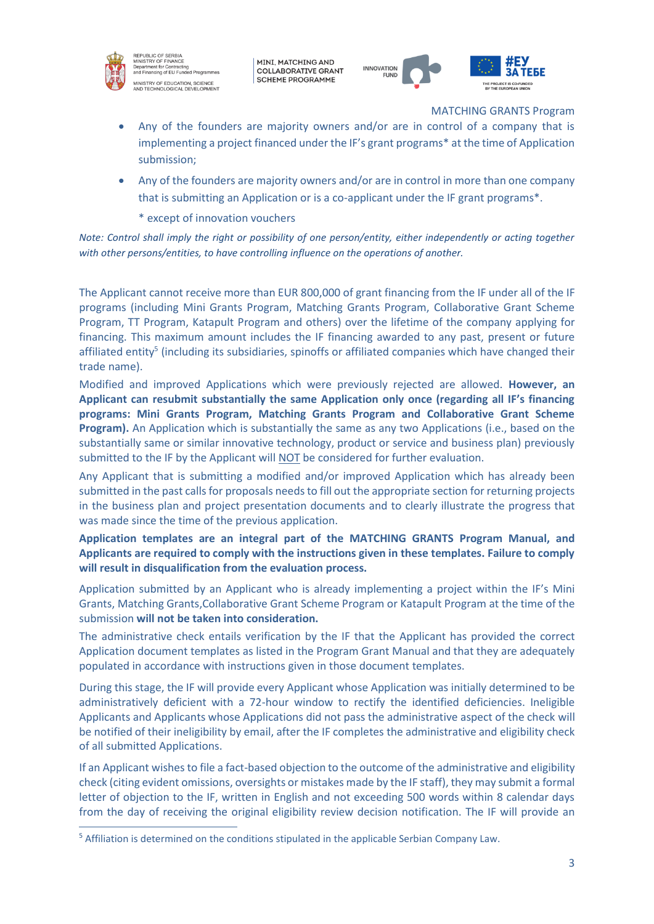

EPUBLIC OF SERBIA<br>NISTRY OF FINANCE minionner on Frienroc<br>Department for Contracting<br>Ind Financing of EU Funded Programr .<br>MINISTRY OF EDUCATION, SCIENCE<br>NND TECHNOLOGICAL DEVELOPMENT

MINI, MATCHING AND **COLLABORATIVE GRANT SCHEME PROGRAMME** 



MATCHING GRANTS Program

- Any of the founders are majority owners and/or are in control of a company that is implementing a project financed under the IF's grant programs\* at the time of Application submission;
- Any of the founders are majority owners and/or are in control in more than one company that is submitting an Application or is a co-applicant under the IF grant programs\*.
	- \* except of innovation vouchers

*Note: Control shall imply the right or possibility of one person/entity, either independently or acting together with other persons/entities, to have controlling influence on the operations of another.*

The Applicant cannot receive more than EUR 800,000 of grant financing from the IF under all of the IF programs (including Mini Grants Program, Matching Grants Program, Collaborative Grant Scheme Program, TT Program, Katapult Program and others) over the lifetime of the company applying for financing. This maximum amount includes the IF financing awarded to any past, present or future affiliated entity<sup>5</sup> (including its subsidiaries, spinoffs or affiliated companies which have changed their trade name).

Modified and improved Applications which were previously rejected are allowed. **However, an Applicant can resubmit substantially the same Application only once (regarding all IF's financing programs: Mini Grants Program, Matching Grants Program and Collaborative Grant Scheme Program).** An Application which is substantially the same as any two Applications (i.e., based on the substantially same or similar innovative technology, product or service and business plan) previously submitted to the IF by the Applicant will NOT be considered for further evaluation.

Any Applicant that is submitting a modified and/or improved Application which has already been submitted in the past calls for proposals needs to fill out the appropriate section for returning projects in the business plan and project presentation documents and to clearly illustrate the progress that was made since the time of the previous application.

# **Application templates are an integral part of the MATCHING GRANTS Program Manual, and Applicants are required to comply with the instructions given in these templates. Failure to comply will result in disqualification from the evaluation process.**

Application submitted by an Applicant who is already implementing a project within the IF's Mini Grants, Matching Grants,Collaborative Grant Scheme Program or Katapult Program at the time of the submission **will not be taken into consideration.**

The administrative check entails verification by the IF that the Applicant has provided the correct Application document templates as listed in the Program Grant Manual and that they are adequately populated in accordance with instructions given in those document templates.

During this stage, the IF will provide every Applicant whose Application was initially determined to be administratively deficient with a 72-hour window to rectify the identified deficiencies. Ineligible Applicants and Applicants whose Applications did not pass the administrative aspect of the check will be notified of their ineligibility by email, after the IF completes the administrative and eligibility check of all submitted Applications.

If an Applicant wishes to file a fact-based objection to the outcome of the administrative and eligibility check (citing evident omissions, oversights or mistakes made by the IF staff), they may submit a formal letter of objection to the IF, written in English and not exceeding 500 words within 8 calendar days from the day of receiving the original eligibility review decision notification. The IF will provide an

<sup>5</sup> Affiliation is determined on the conditions stipulated in the applicable Serbian Company Law.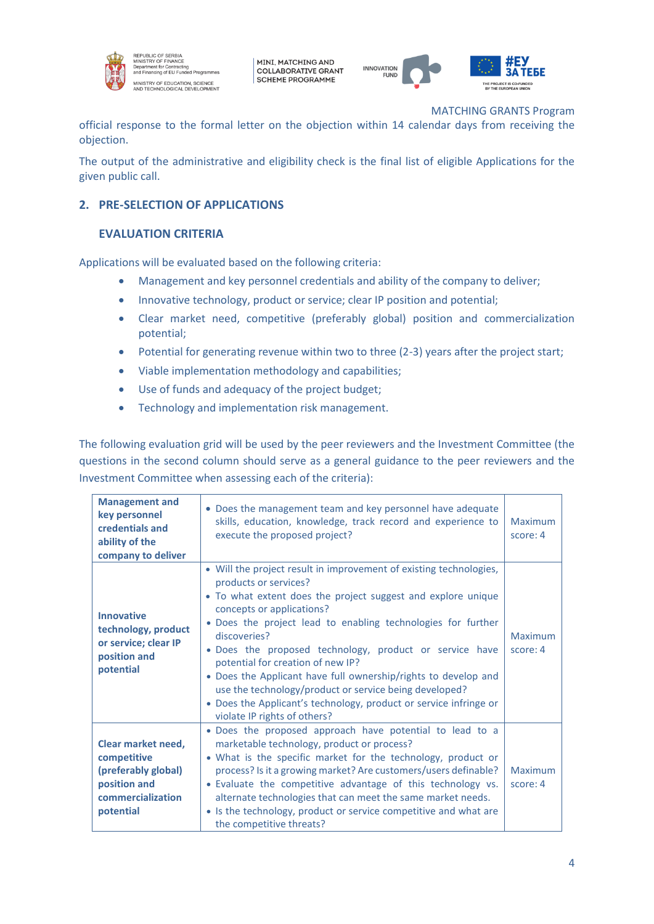

REPUBLIC OF SERBIA<br>MINISTRY OF FINANCE<br>Department for Contracting<br>Ind Financing of EU Funded Programmes .<br>IINISTRY OF EDUCATION, SCIENCE<br>ND TECHNOLOGICAL DEVELOPMENT

MINI, MATCHING AND **COLLABORATIVE GRANT SCHEME PROGRAMME** 



MATCHING GRANTS Program

official response to the formal letter on the objection within 14 calendar days from receiving the objection.

The output of the administrative and eligibility check is the final list of eligible Applications for the given public call.

# **2. PRE-SELECTION OF APPLICATIONS**

# **EVALUATION CRITERIA**

Applications will be evaluated based on the following criteria:

- Management and key personnel credentials and ability of the company to deliver;
- Innovative technology, product or service; clear IP position and potential;
- Clear market need, competitive (preferably global) position and commercialization potential;
- Potential for generating revenue within two to three (2-3) years after the project start;
- Viable implementation methodology and capabilities;
- Use of funds and adequacy of the project budget;
- Technology and implementation risk management.

The following evaluation grid will be used by the peer reviewers and the Investment Committee (the questions in the second column should serve as a general guidance to the peer reviewers and the Investment Committee when assessing each of the criteria):

| <b>Management and</b><br>key personnel<br>credentials and<br>ability of the<br>company to deliver          | • Does the management team and key personnel have adequate<br>skills, education, knowledge, track record and experience to<br>execute the proposed project?                                                                                                                                                                                                                                                                                                                                                                                                                                               | Maximum<br>score: 4 |
|------------------------------------------------------------------------------------------------------------|-----------------------------------------------------------------------------------------------------------------------------------------------------------------------------------------------------------------------------------------------------------------------------------------------------------------------------------------------------------------------------------------------------------------------------------------------------------------------------------------------------------------------------------------------------------------------------------------------------------|---------------------|
| <b>Innovative</b><br>technology, product<br>or service; clear IP<br>position and<br>potential              | • Will the project result in improvement of existing technologies,<br>products or services?<br>• To what extent does the project suggest and explore unique<br>concepts or applications?<br>. Does the project lead to enabling technologies for further<br>discoveries?<br>. Does the proposed technology, product or service have<br>potential for creation of new IP?<br>• Does the Applicant have full ownership/rights to develop and<br>use the technology/product or service being developed?<br>• Does the Applicant's technology, product or service infringe or<br>violate IP rights of others? | Maximum<br>score: 4 |
| Clear market need,<br>competitive<br>(preferably global)<br>position and<br>commercialization<br>potential | . Does the proposed approach have potential to lead to a<br>marketable technology, product or process?<br>• What is the specific market for the technology, product or<br>process? Is it a growing market? Are customers/users definable?<br>• Evaluate the competitive advantage of this technology vs.<br>alternate technologies that can meet the same market needs.<br>• Is the technology, product or service competitive and what are<br>the competitive threats?                                                                                                                                   | Maximum<br>score: 4 |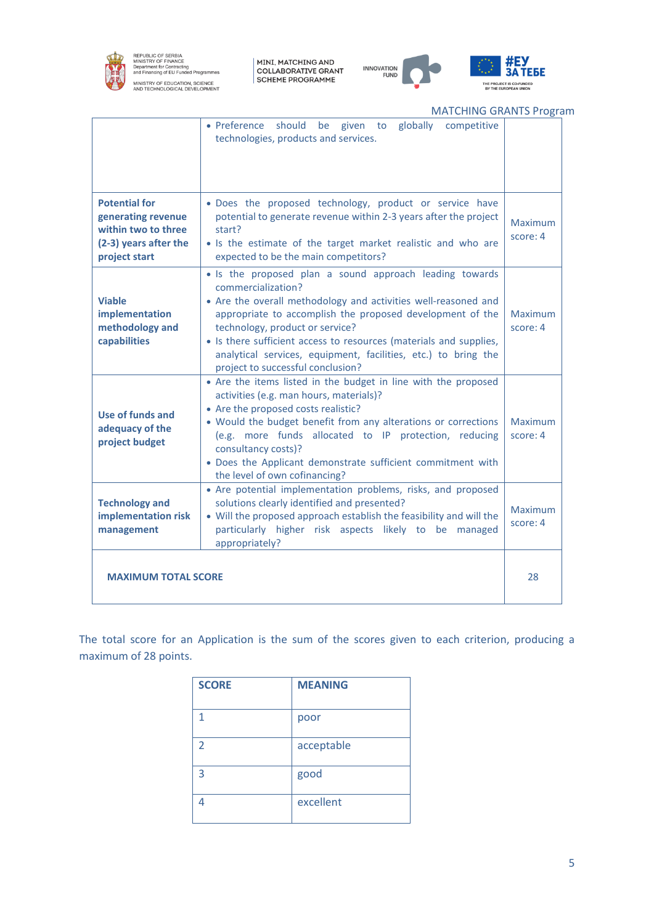

REPUBLIC OF SERBIA<br>MINISTRY OF FINANCE<br>Department for Contracting<br>and Financing of EU Funded Programmes MINISTRY OF EDUCATION, SCIENCE<br>AND TECHNOLOGICAL DEVELOPMENT

MINI, MATCHING AND<br>COLLABORATIVE GRANT<br>SCHEME PROGRAMME



ŤЕБЕ

MATCHING GRANTS Program

|                                                                                                             | given to globally<br>• Preference should be<br>competitive<br>technologies, products and services.                                                                                                                                                                                                                                                                                                                           |                     |
|-------------------------------------------------------------------------------------------------------------|------------------------------------------------------------------------------------------------------------------------------------------------------------------------------------------------------------------------------------------------------------------------------------------------------------------------------------------------------------------------------------------------------------------------------|---------------------|
| <b>Potential for</b><br>generating revenue<br>within two to three<br>(2-3) years after the<br>project start | . Does the proposed technology, product or service have<br>potential to generate revenue within 2-3 years after the project<br>start?<br>• Is the estimate of the target market realistic and who are<br>expected to be the main competitors?                                                                                                                                                                                | Maximum<br>score: 4 |
| <b>Viable</b><br>implementation<br>methodology and<br>capabilities                                          | • Is the proposed plan a sound approach leading towards<br>commercialization?<br>• Are the overall methodology and activities well-reasoned and<br>appropriate to accomplish the proposed development of the<br>technology, product or service?<br>• Is there sufficient access to resources (materials and supplies,<br>analytical services, equipment, facilities, etc.) to bring the<br>project to successful conclusion? | Maximum<br>score: 4 |
| Use of funds and<br>adequacy of the<br>project budget                                                       | • Are the items listed in the budget in line with the proposed<br>activities (e.g. man hours, materials)?<br>• Are the proposed costs realistic?<br>• Would the budget benefit from any alterations or corrections<br>(e.g. more funds allocated to IP protection, reducing<br>consultancy costs)?<br>• Does the Applicant demonstrate sufficient commitment with<br>the level of own cofinancing?                           | Maximum<br>score: 4 |
| <b>Technology and</b><br>implementation risk<br>management                                                  | • Are potential implementation problems, risks, and proposed<br>solutions clearly identified and presented?<br>• Will the proposed approach establish the feasibility and will the<br>particularly higher risk aspects likely to be managed<br>appropriately?                                                                                                                                                                | Maximum<br>score: 4 |
| <b>MAXIMUM TOTAL SCORE</b>                                                                                  |                                                                                                                                                                                                                                                                                                                                                                                                                              | 28                  |

The total score for an Application is the sum of the scores given to each criterion, producing a maximum of 28 points.

| <b>SCORE</b> | <b>MEANING</b> |
|--------------|----------------|
| 1            | poor           |
| 2            | acceptable     |
| 3            | good           |
|              | excellent      |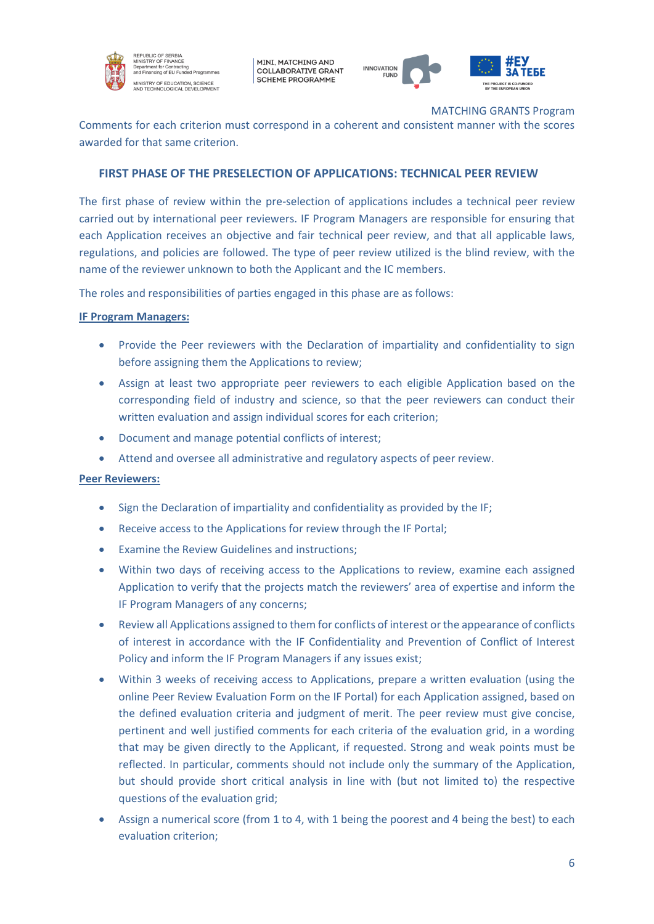

EPUBLIC OF SERBIA<br>INISTRY OF FINANCE n Orininu<br>Int for Cor **Superintent for Sontracting**<br>and Financing of EU Funded Program MINISTRY OF EDUCATION, SCIENCE<br>NND TECHNOLOGICAL DEVELOPMENT

MINI, MATCHING AND **COLLABORATIVE GRANT SCHEME PROGRAMME** 



MATCHING GRANTS Program

Comments for each criterion must correspond in a coherent and consistent manner with the scores awarded for that same criterion.

## **FIRST PHASE OF THE PRESELECTION OF APPLICATIONS: TECHNICAL PEER REVIEW**

The first phase of review within the pre-selection of applications includes a technical peer review carried out by international peer reviewers. IF Program Managers are responsible for ensuring that each Application receives an objective and fair technical peer review, and that all applicable laws, regulations, and policies are followed. The type of peer review utilized is the blind review, with the name of the reviewer unknown to both the Applicant and the IC members.

The roles and responsibilities of parties engaged in this phase are as follows:

#### **IF Program Managers:**

- Provide the Peer reviewers with the Declaration of impartiality and confidentiality to sign before assigning them the Applications to review;
- Assign at least two appropriate peer reviewers to each eligible Application based on the corresponding field of industry and science, so that the peer reviewers can conduct their written evaluation and assign individual scores for each criterion;
- Document and manage potential conflicts of interest;
- Attend and oversee all administrative and regulatory aspects of peer review.

#### **Peer Reviewers:**

- Sign the Declaration of impartiality and confidentiality as provided by the IF;
- Receive access to the Applications for review through the IF Portal;
- Examine the Review Guidelines and instructions;
- Within two days of receiving access to the Applications to review, examine each assigned Application to verify that the projects match the reviewers' area of expertise and inform the IF Program Managers of any concerns;
- Review all Applications assigned to them for conflicts of interest or the appearance of conflicts of interest in accordance with the IF Confidentiality and Prevention of Conflict of Interest Policy and inform the IF Program Managers if any issues exist;
- Within 3 weeks of receiving access to Applications, prepare a written evaluation (using the online Peer Review Evaluation Form on the IF Portal) for each Application assigned, based on the defined evaluation criteria and judgment of merit. The peer review must give concise, pertinent and well justified comments for each criteria of the evaluation grid, in a wording that may be given directly to the Applicant, if requested. Strong and weak points must be reflected. In particular, comments should not include only the summary of the Application, but should provide short critical analysis in line with (but not limited to) the respective questions of the evaluation grid;
- Assign a numerical score (from 1 to 4, with 1 being the poorest and 4 being the best) to each evaluation criterion;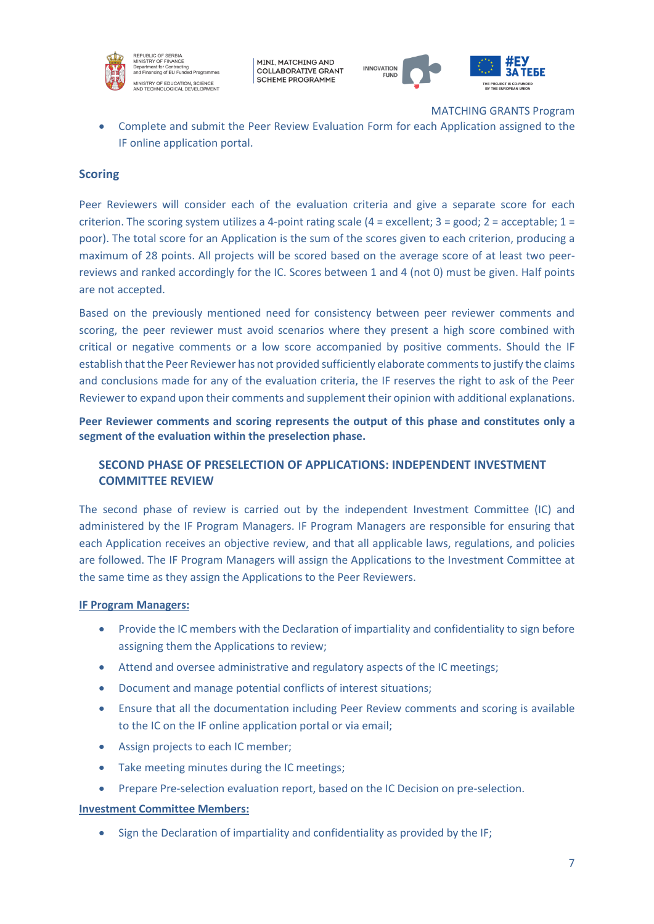

MINI, MATCHING AND **COLLABORATIVE GRANT SCHEME PROGRAMME** 



MATCHING GRANTS Program

• Complete and submit the Peer Review Evaluation Form for each Application assigned to the IF online application portal.

### **Scoring**

Peer Reviewers will consider each of the evaluation criteria and give a separate score for each criterion. The scoring system utilizes a 4-point rating scale  $(4 = \text{excellent}; 3 = \text{good}; 2 = \text{acceptable}; 1 = \text{right})$ poor). The total score for an Application is the sum of the scores given to each criterion, producing a maximum of 28 points. All projects will be scored based on the average score of at least two peerreviews and ranked accordingly for the IC. Scores between 1 and 4 (not 0) must be given. Half points are not accepted.

Based on the previously mentioned need for consistency between peer reviewer comments and scoring, the peer reviewer must avoid scenarios where they present a high score combined with critical or negative comments or a low score accompanied by positive comments. Should the IF establish that the Peer Reviewer has not provided sufficiently elaborate comments to justify the claims and conclusions made for any of the evaluation criteria, the IF reserves the right to ask of the Peer Reviewer to expand upon their comments and supplement their opinion with additional explanations.

**Peer Reviewer comments and scoring represents the output of this phase and constitutes only a segment of the evaluation within the preselection phase.**

# **SECOND PHASE OF PRESELECTION OF APPLICATIONS: INDEPENDENT INVESTMENT COMMITTEE REVIEW**

The second phase of review is carried out by the independent Investment Committee (IC) and administered by the IF Program Managers. IF Program Managers are responsible for ensuring that each Application receives an objective review, and that all applicable laws, regulations, and policies are followed. The IF Program Managers will assign the Applications to the Investment Committee at the same time as they assign the Applications to the Peer Reviewers.

#### **IF Program Managers:**

- Provide the IC members with the Declaration of impartiality and confidentiality to sign before assigning them the Applications to review;
- Attend and oversee administrative and regulatory aspects of the IC meetings;
- Document and manage potential conflicts of interest situations;
- Ensure that all the documentation including Peer Review comments and scoring is available to the IC on the IF online application portal or via email;
- Assign projects to each IC member;
- Take meeting minutes during the IC meetings;
- Prepare Pre-selection evaluation report, based on the IC Decision on pre-selection.

#### **Investment Committee Members:**

• Sign the Declaration of impartiality and confidentiality as provided by the IF;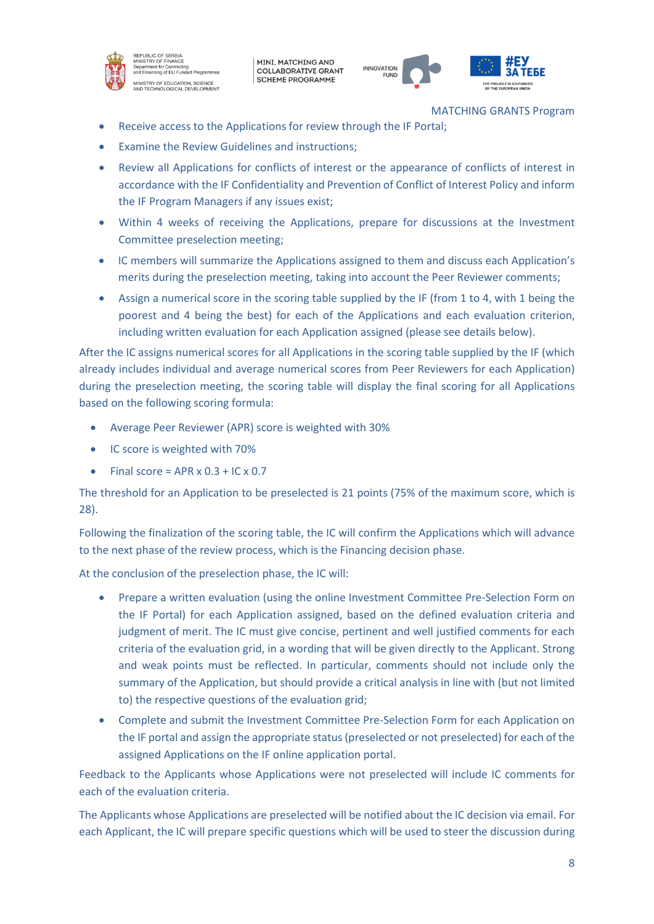

REPUBLIC OF SERBIA<br>MINISTRY OF FINANCE Department for FinanceL<br>Department for Contracting<br>and Financing of EU Funded Programme MINISTRY OF EDUCATION, SCIENCE<br>AND TECHNOLOGICAL DEVELOPMENT

MINI, MATCHING AND **COLLABORATIVE GRANT SCHEME PROGRAMME** 



MATCHING GRANTS Program

- Receive access to the Applications for review through the IF Portal;
- Examine the Review Guidelines and instructions;
- Review all Applications for conflicts of interest or the appearance of conflicts of interest in accordance with the IF Confidentiality and Prevention of Conflict of Interest Policy and inform the IF Program Managers if any issues exist;
- Within 4 weeks of receiving the Applications, prepare for discussions at the Investment Committee preselection meeting;
- IC members will summarize the Applications assigned to them and discuss each Application's merits during the preselection meeting, taking into account the Peer Reviewer comments;
- Assign a numerical score in the scoring table supplied by the IF (from 1 to 4, with 1 being the poorest and 4 being the best) for each of the Applications and each evaluation criterion, including written evaluation for each Application assigned (please see details below).

After the IC assigns numerical scores for all Applications in the scoring table supplied by the IF (which already includes individual and average numerical scores from Peer Reviewers for each Application) during the preselection meeting, the scoring table will display the final scoring for all Applications based on the following scoring formula:

- Average Peer Reviewer (APR) score is weighted with 30%
- IC score is weighted with 70%
- Final score = APR  $\times$  0.3 + IC  $\times$  0.7

The threshold for an Application to be preselected is 21 points (75% of the maximum score, which is 28).

Following the finalization of the scoring table, the IC will confirm the Applications which will advance to the next phase of the review process, which is the Financing decision phase.

At the conclusion of the preselection phase, the IC will:

- Prepare a written evaluation (using the online Investment Committee Pre-Selection Form on the IF Portal) for each Application assigned, based on the defined evaluation criteria and judgment of merit. The IC must give concise, pertinent and well justified comments for each criteria of the evaluation grid, in a wording that will be given directly to the Applicant. Strong and weak points must be reflected. In particular, comments should not include only the summary of the Application, but should provide a critical analysis in line with (but not limited to) the respective questions of the evaluation grid;
- Complete and submit the Investment Committee Pre-Selection Form for each Application on the IF portal and assign the appropriate status (preselected or not preselected) for each of the assigned Applications on the IF online application portal.

Feedback to the Applicants whose Applications were not preselected will include IC comments for each of the evaluation criteria.

The Applicants whose Applications are preselected will be notified about the IC decision via email. For each Applicant, the IC will prepare specific questions which will be used to steer the discussion during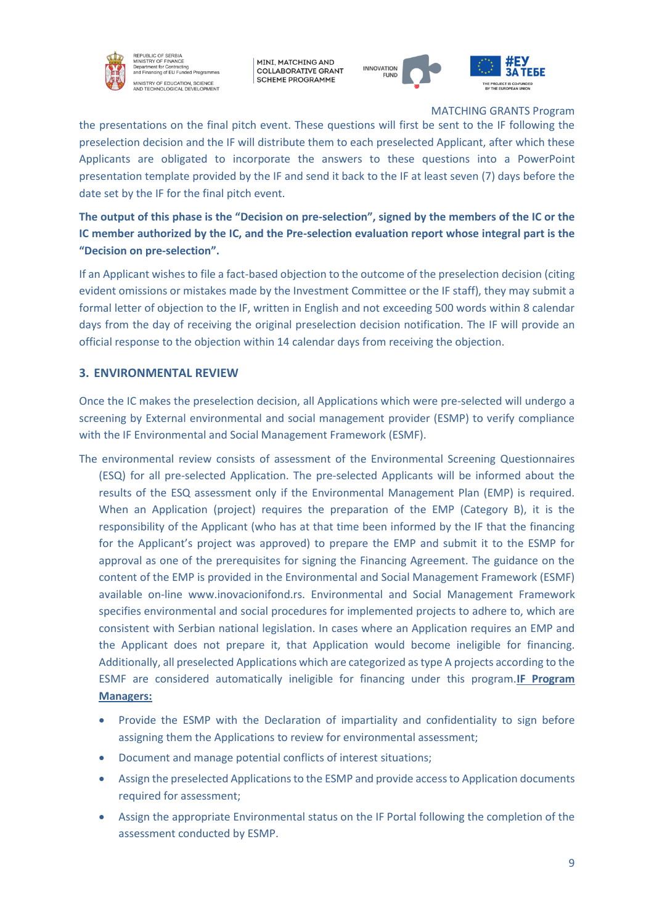

REPUBLIC OF SERBIA<br>MINISTRY OF FINANCE MINISTRY OF FINANCE<br>Department for Contracting<br>and Financing of EU Funded Programr .<br>MINISTRY OF EDUCATION, SCIENCE<br>NND TECHNOLOGICAL DEVELOPMENT

MINI, MATCHING AND **COLLABORATIVE GRANT SCHEME PROGRAMME** 



MATCHING GRANTS Program

the presentations on the final pitch event. These questions will first be sent to the IF following the preselection decision and the IF will distribute them to each preselected Applicant, after which these Applicants are obligated to incorporate the answers to these questions into a PowerPoint presentation template provided by the IF and send it back to the IF at least seven (7) days before the date set by the IF for the final pitch event.

**The output of this phase is the "Decision on pre-selection", signed by the members of the IC or the IC member authorized by the IC, and the Pre-selection evaluation report whose integral part is the "Decision on pre-selection".**

If an Applicant wishes to file a fact-based objection to the outcome of the preselection decision (citing evident omissions or mistakes made by the Investment Committee or the IF staff), they may submit a formal letter of objection to the IF, written in English and not exceeding 500 words within 8 calendar days from the day of receiving the original preselection decision notification. The IF will provide an official response to the objection within 14 calendar days from receiving the objection.

### **3. ENVIRONMENTAL REVIEW**

Once the IC makes the preselection decision, all Applications which were pre-selected will undergo a screening by External environmental and social management provider (ESMP) to verify compliance with the IF Environmental and Social Management Framework (ESMF).

- The environmental review consists of assessment of the Environmental Screening Questionnaires (ESQ) for all pre-selected Application. The pre-selected Applicants will be informed about the results of the ESQ assessment only if the Environmental Management Plan (EMP) is required. When an Application (project) requires the preparation of the EMP (Category B), it is the responsibility of the Applicant (who has at that time been informed by the IF that the financing for the Applicant's project was approved) to prepare the EMP and submit it to the ESMP for approval as one of the prerequisites for signing the Financing Agreement. The guidance on the content of the EMP is provided in the Environmental and Social Management Framework (ESMF) available on-line www.inovacionifond.rs. Environmental and Social Management Framework specifies environmental and social procedures for implemented projects to adhere to, which are consistent with Serbian national legislation. In cases where an Application requires an EMP and the Applicant does not prepare it, that Application would become ineligible for financing. Additionally, all preselected Applications which are categorized as type A projects according to the ESMF are considered automatically ineligible for financing under this program.**IF Program Managers:**
	- Provide the ESMP with the Declaration of impartiality and confidentiality to sign before assigning them the Applications to review for environmental assessment;
	- Document and manage potential conflicts of interest situations;
	- Assign the preselected Applications to the ESMP and provide access to Application documents required for assessment;
	- Assign the appropriate Environmental status on the IF Portal following the completion of the assessment conducted by ESMP.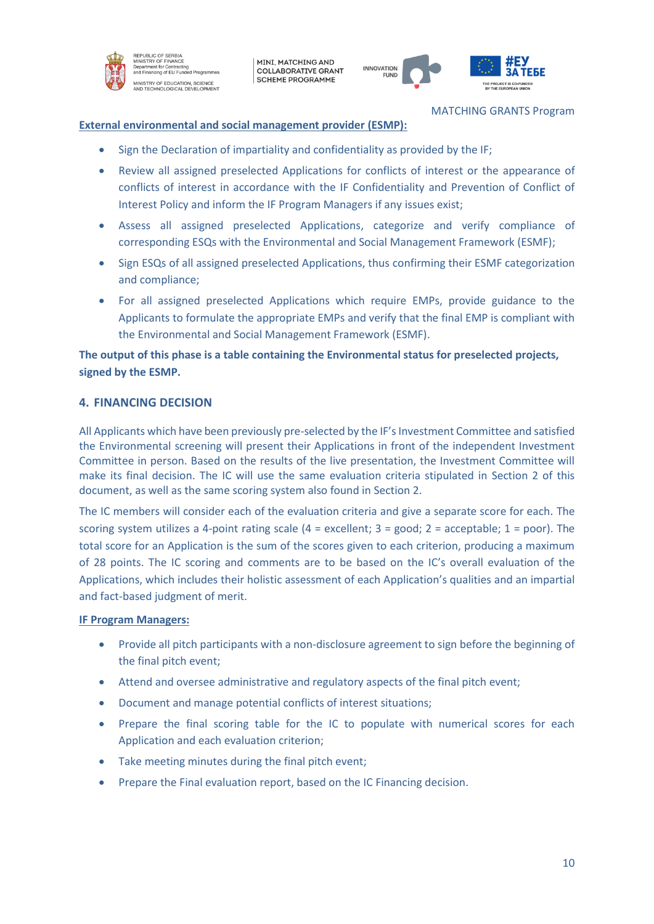

REPUBLIC OF SERBIA<br>MINISTRY OF FINANCE Department for Finance<br>Department for Contracting<br>and Financing of EU Funded Programr .<br>MINISTRY OF EDUCATION, SCIENCE<br>NND TECHNOLOGICAL DEVELOPMENT

MINI, MATCHING AND **COLLABORATIVE GRANT SCHEME PROGRAMME** 



MATCHING GRANTS Program

#### **External environmental and social management provider (ESMP):**

- Sign the Declaration of impartiality and confidentiality as provided by the IF;
- Review all assigned preselected Applications for conflicts of interest or the appearance of conflicts of interest in accordance with the IF Confidentiality and Prevention of Conflict of Interest Policy and inform the IF Program Managers if any issues exist;
- Assess all assigned preselected Applications, categorize and verify compliance of corresponding ESQs with the Environmental and Social Management Framework (ESMF);
- Sign ESQs of all assigned preselected Applications, thus confirming their ESMF categorization and compliance;
- For all assigned preselected Applications which require EMPs, provide guidance to the Applicants to formulate the appropriate EMPs and verify that the final EMP is compliant with the Environmental and Social Management Framework (ESMF).

# **The output of this phase is a table containing the Environmental status for preselected projects, signed by the ESMP.**

# **4. FINANCING DECISION**

All Applicants which have been previously pre-selected by the IF's Investment Committee and satisfied the Environmental screening will present their Applications in front of the independent Investment Committee in person. Based on the results of the live presentation, the Investment Committee will make its final decision. The IC will use the same evaluation criteria stipulated in Section 2 of this document, as well as the same scoring system also found in Section 2.

The IC members will consider each of the evaluation criteria and give a separate score for each. The scoring system utilizes a 4-point rating scale (4 = excellent; 3 = good; 2 = acceptable; 1 = poor). The total score for an Application is the sum of the scores given to each criterion, producing a maximum of 28 points. The IC scoring and comments are to be based on the IC's overall evaluation of the Applications, which includes their holistic assessment of each Application's qualities and an impartial and fact-based judgment of merit.

#### **IF Program Managers:**

- Provide all pitch participants with a non-disclosure agreement to sign before the beginning of the final pitch event;
- Attend and oversee administrative and regulatory aspects of the final pitch event;
- Document and manage potential conflicts of interest situations;
- Prepare the final scoring table for the IC to populate with numerical scores for each Application and each evaluation criterion;
- Take meeting minutes during the final pitch event;
- Prepare the Final evaluation report, based on the IC Financing decision.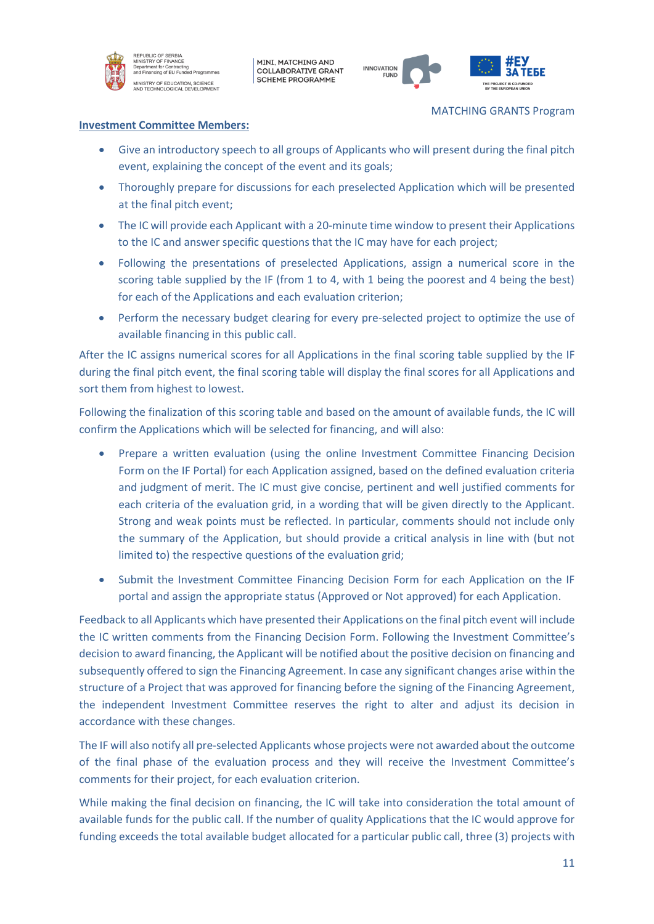

EPUBLIC OF SERBIA<br>NISTRY OF FINANCE nt for Co **Superintent for Sontracting**<br>and Financing of EU Funded Program .<br>MINISTRY OF EDUCATION, SCIENCE<br>NND TECHNOLOGICAL DEVELOPMENT

MINI, MATCHING AND **COLLABORATIVE GRANT SCHEME PROGRAMME** 



MATCHING GRANTS Program

#### **Investment Committee Members:**

- Give an introductory speech to all groups of Applicants who will present during the final pitch event, explaining the concept of the event and its goals;
- Thoroughly prepare for discussions for each preselected Application which will be presented at the final pitch event;
- The IC will provide each Applicant with a 20-minute time window to present their Applications to the IC and answer specific questions that the IC may have for each project;
- Following the presentations of preselected Applications, assign a numerical score in the scoring table supplied by the IF (from 1 to 4, with 1 being the poorest and 4 being the best) for each of the Applications and each evaluation criterion;
- Perform the necessary budget clearing for every pre-selected project to optimize the use of available financing in this public call.

After the IC assigns numerical scores for all Applications in the final scoring table supplied by the IF during the final pitch event, the final scoring table will display the final scores for all Applications and sort them from highest to lowest.

Following the finalization of this scoring table and based on the amount of available funds, the IC will confirm the Applications which will be selected for financing, and will also:

- Prepare a written evaluation (using the online Investment Committee Financing Decision Form on the IF Portal) for each Application assigned, based on the defined evaluation criteria and judgment of merit. The IC must give concise, pertinent and well justified comments for each criteria of the evaluation grid, in a wording that will be given directly to the Applicant. Strong and weak points must be reflected. In particular, comments should not include only the summary of the Application, but should provide a critical analysis in line with (but not limited to) the respective questions of the evaluation grid;
- Submit the Investment Committee Financing Decision Form for each Application on the IF portal and assign the appropriate status (Approved or Not approved) for each Application.

Feedback to all Applicants which have presented their Applications on the final pitch event will include the IC written comments from the Financing Decision Form. Following the Investment Committee's decision to award financing, the Applicant will be notified about the positive decision on financing and subsequently offered to sign the Financing Agreement. In case any significant changes arise within the structure of a Project that was approved for financing before the signing of the Financing Agreement, the independent Investment Committee reserves the right to alter and adjust its decision in accordance with these changes.

The IF will also notify all pre-selected Applicants whose projects were not awarded about the outcome of the final phase of the evaluation process and they will receive the Investment Committee's comments for their project, for each evaluation criterion.

While making the final decision on financing, the IC will take into consideration the total amount of available funds for the public call. If the number of quality Applications that the IC would approve for funding exceeds the total available budget allocated for a particular public call, three (3) projects with